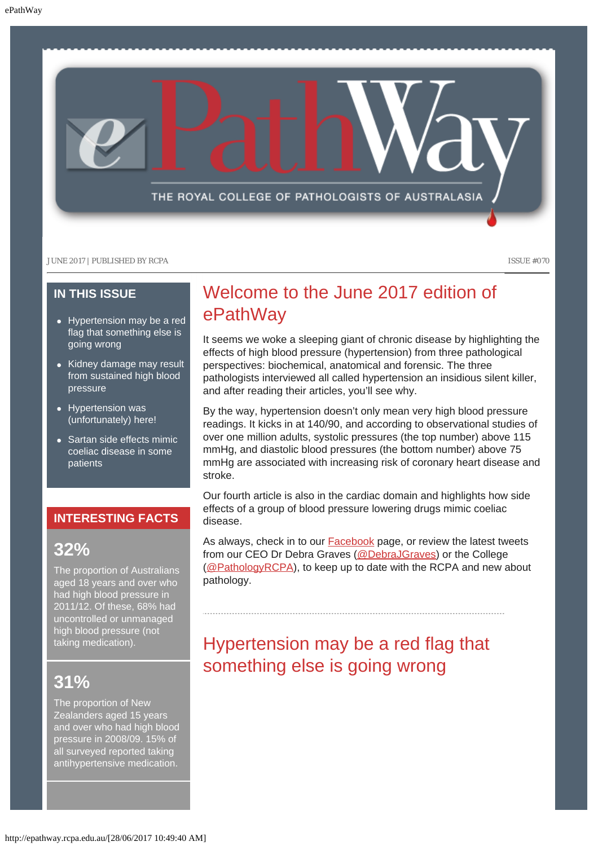

### **IN THIS ISSUE**

- [Hypertension may be a red](#page-0-0) [flag that something else is](#page-0-0) [going wrong](#page-0-0)
- [Kidney damage may result](#page-1-0) [from sustained high blood](#page-1-0) [pressure](#page-1-0)
- [Hypertension was](#page-1-1) [\(unfortunately\) here!](#page-1-1)
- [Sartan side effects mimic](#page-2-0) [coeliac disease in some](#page-2-0) [patients](#page-2-0)

### **INTERESTING FACTS**

### **32%**

The proportion of Australians aged 18 years and over who had high blood pressure in 2011/12. Of these, 68% had uncontrolled or unmanaged high blood pressure (not taking medication).

## <span id="page-0-0"></span>**31%**

The proportion of New Zealanders aged 15 years and over who had high blood pressure in 2008/09. 15% of all surveyed reported taking antihypertensive medication.

## Welcome to the June 2017 edition of ePathWay

It seems we woke a sleeping giant of chronic disease by highlighting the effects of high blood pressure (hypertension) from three pathological perspectives: biochemical, anatomical and forensic. The three pathologists interviewed all called hypertension an insidious silent killer, and after reading their articles, you'll see why.

By the way, hypertension doesn't only mean very high blood pressure readings. It kicks in at 140/90, and according to observational studies of over one million adults, systolic pressures (the top number) above 115 mmHg, and diastolic blood pressures (the bottom number) above 75 mmHg are associated with increasing risk of coronary heart disease and stroke.

Our fourth article is also in the cardiac domain and highlights how side effects of a group of blood pressure lowering drugs mimic coeliac disease.

As always, check in to our **Facebook** page, or review the latest tweets from our CEO Dr Debra Graves [\(@DebraJGraves](https://twitter.com/search?q=%40debrajgraves&src=typd)) or the College [\(@PathologyRCPA](https://twitter.com/pathologyrcpa)), to keep up to date with the RCPA and new about pathology.

# Hypertension may be a red flag that something else is going wrong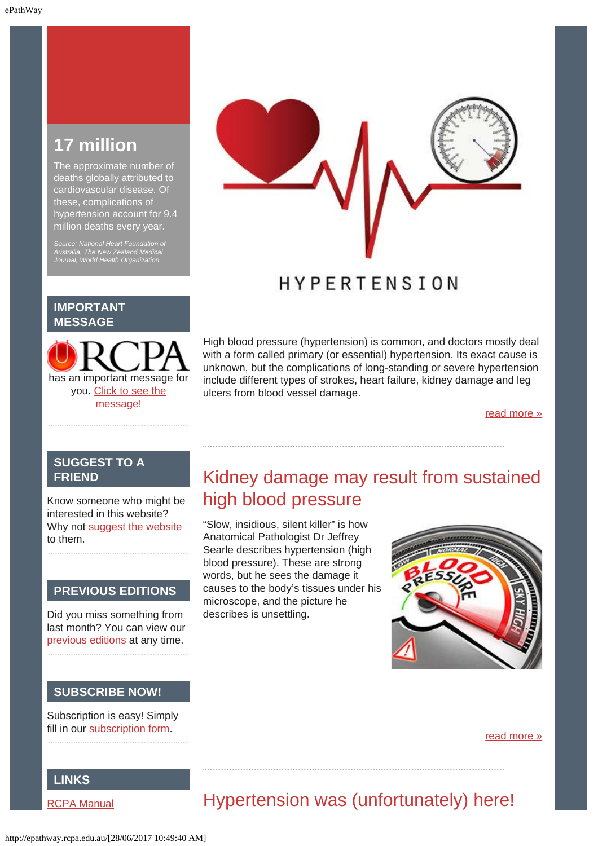## **17 million**

The approximate number of deaths globally attributed to cardiovascular disease. Of these, complications of hypertension account for 9.4 million deaths every year.

*Source: National Heart Foundation of Australia, The New Zealand Medical Journal, World Health Organization*



## **HYPERTENSION**

#### **IMPORTANT MESSAGE**

has an important message for you. [Click to see the](http://epathway.rcpa.edu.au/notice.html) [message!](http://epathway.rcpa.edu.au/notice.html)

High blood pressure (hypertension) is common, and doctors mostly deal with a form called primary (or essential) hypertension. Its exact cause is unknown, but the complications of long-standing or severe hypertension include different types of strokes, heart failure, kidney damage and leg ulcers from blood vessel damage.

[read more »](#page-5-0)

### **SUGGEST TO A FRIEND**

<span id="page-1-0"></span>Know someone who might be interested in this website? Why not [suggest the website](mailto:?Subject=I%20think%20you%20should%20read%20this%20Newsletter=
http://epathway.rcpa.edu.au/index.html) to them.

#### **PREVIOUS EDITIONS**

Did you miss something from last month? You can view our [previous editions](#page-3-0) at any time.

### **SUBSCRIBE NOW!**

Subscription is easy! Simply fill in our [subscription form.](http://epathway.rcpa.edu.au/subscription.html)

## Kidney damage may result from sustained high blood pressure

"Slow, insidious, silent killer" is how Anatomical Pathologist Dr Jeffrey Searle describes hypertension (high blood pressure). These are strong words, but he sees the damage it causes to the body's tissues under his microscope, and the picture he describes is unsettling.



#### [read more »](#page-7-0)

### **LINKS**

<span id="page-1-1"></span>[RCPA Manual](http://rcpamanual.edu.au/)

# Hypertension was (unfortunately) here!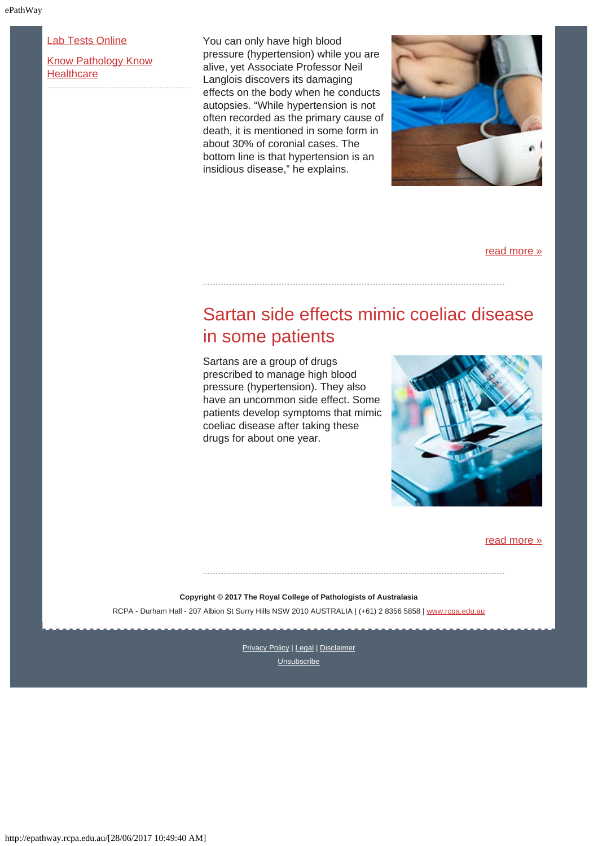[Lab Tests Online](http://www.labtestsonline.org.au/)

[Know Pathology Know](http://knowpathology.com.au/) **[Healthcare](http://knowpathology.com.au/)** 

You can only have high blood pressure (hypertension) while you are alive, yet Associate Professor Neil Langlois discovers its damaging effects on the body when he conducts autopsies. "While hypertension is not often recorded as the primary cause of death, it is mentioned in some form in about 30% of coronial cases. The bottom line is that hypertension is an insidious disease," he explains.



[read more »](#page-9-0)

## <span id="page-2-0"></span>Sartan side effects mimic coeliac disease in some patients

Sartans are a group of drugs prescribed to manage high blood pressure (hypertension). They also have an uncommon side effect. Some patients develop symptoms that mimic coeliac disease after taking these drugs for about one year.



[read more »](#page-11-0)

**Copyright © 2017 The Royal College of Pathologists of Australasia** RCPA - Durham Hall - 207 Albion St Surry Hills NSW 2010 AUSTRALIA | (+61) 2 8356 5858 | [www.rcpa.edu.au](https://www.rcpa.edu.au/)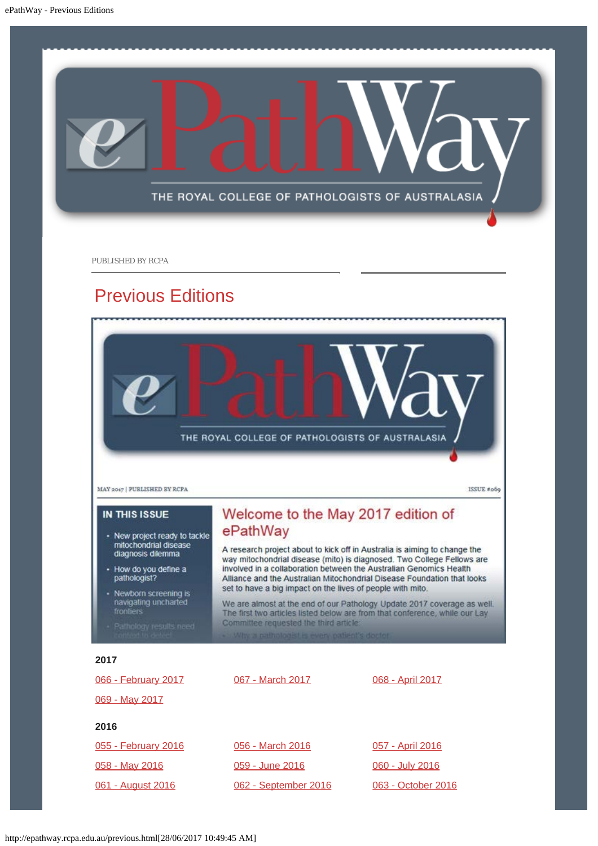<span id="page-3-0"></span>

PUBLISHED BY RCPA

## Previous Editions



| 066 - February 2017      | 067 - March 2017     | 068 - April 2017        |
|--------------------------|----------------------|-------------------------|
| 069 - May 2017           |                      |                         |
| 2016                     |                      |                         |
| 055 - February 2016      | 056 - March 2016     | <u>057 - April 2016</u> |
| 058 - May 2016           | 059 - June 2016      | 060 - July 2016         |
| <u>061 - August 2016</u> | 062 - September 2016 | 063 - October 2016      |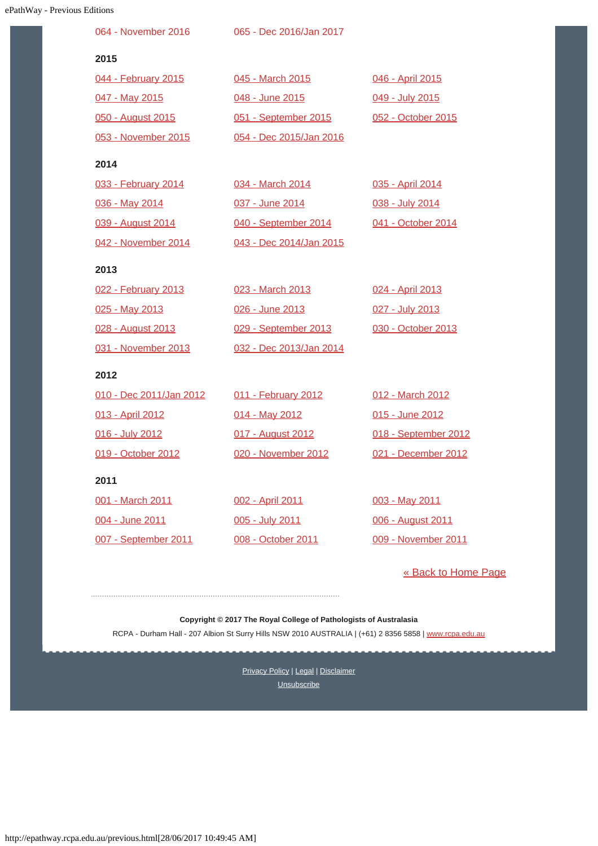| <b>Way - Previous Editions</b> |                         |                         |                      |
|--------------------------------|-------------------------|-------------------------|----------------------|
|                                | 064 - November 2016     | 065 - Dec 2016/Jan 2017 |                      |
|                                | 2015                    |                         |                      |
|                                | 044 - February 2015     | 045 - March 2015        | 046 - April 2015     |
|                                | 047 - May 2015          | 048 - June 2015         | 049 - July 2015      |
|                                | 050 - August 2015       | 051 - September 2015    | 052 - October 2015   |
|                                | 053 - November 2015     | 054 - Dec 2015/Jan 2016 |                      |
|                                | 2014                    |                         |                      |
|                                | 033 - February 2014     | 034 - March 2014        | 035 - April 2014     |
|                                | 036 - May 2014          | 037 - June 2014         | 038 - July 2014      |
|                                | 039 - August 2014       | 040 - September 2014    | 041 - October 2014   |
|                                | 042 - November 2014     | 043 - Dec 2014/Jan 2015 |                      |
|                                | 2013                    |                         |                      |
|                                | 022 - February 2013     | 023 - March 2013        | 024 - April 2013     |
|                                | 025 - May 2013          | 026 - June 2013         | 027 - July 2013      |
|                                | 028 - August 2013       | 029 - September 2013    | 030 - October 2013   |
|                                | 031 - November 2013     | 032 - Dec 2013/Jan 2014 |                      |
|                                | 2012                    |                         |                      |
|                                | 010 - Dec 2011/Jan 2012 | 011 - February 2012     | 012 - March 2012     |
|                                | 013 - April 2012        | 014 - May 2012          | 015 - June 2012      |
|                                | 016 - July 2012         | 017 - August 2012       | 018 - September 2012 |
|                                | 019 - October 2012      | 020 - November 2012     | 021 - December 2012  |
|                                | 2011                    |                         |                      |
|                                | 001 - March 2011        | 002 - April 2011        | 003 - May 2011       |
|                                | 004 - June 2011         | 005 - July 2011         | 006 - August 2011    |
|                                | 007 - September 2011    | 008 - October 2011      | 009 - November 2011  |

[« Back to Home Page](http://epathway.rcpa.edu.au/index.html)

**Copyright © 2017 The Royal College of Pathologists of Australasia** RCPA - Durham Hall - 207 Albion St Surry Hills NSW 2010 AUSTRALIA | (+61) 2 8356 5858 | [www.rcpa.edu.au](https://www.rcpa.edu.au/)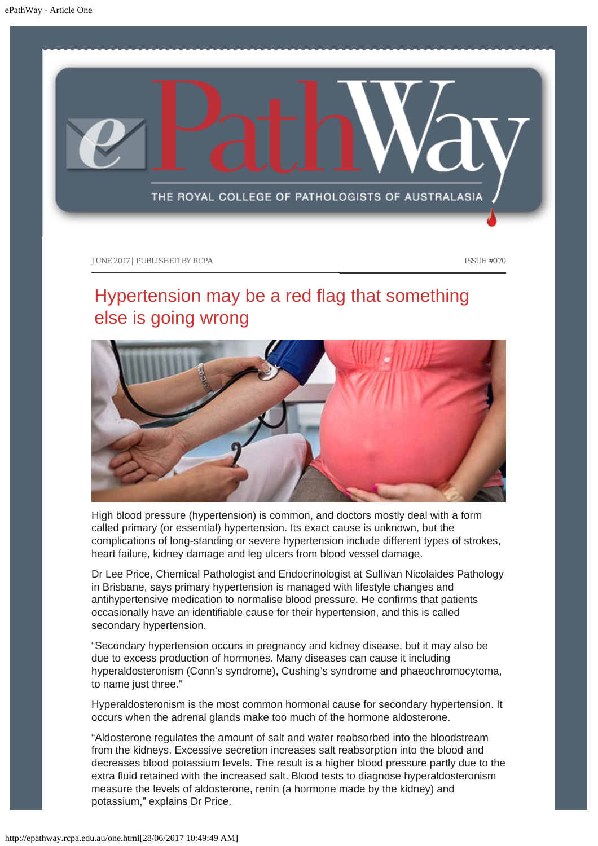<span id="page-5-0"></span>

# Hypertension may be a red flag that something else is going wrong



High blood pressure (hypertension) is common, and doctors mostly deal with a form called primary (or essential) hypertension. Its exact cause is unknown, but the complications of long-standing or severe hypertension include different types of strokes, heart failure, kidney damage and leg ulcers from blood vessel damage.

Dr Lee Price, Chemical Pathologist and Endocrinologist at Sullivan Nicolaides Pathology in Brisbane, says primary hypertension is managed with lifestyle changes and antihypertensive medication to normalise blood pressure. He confirms that patients occasionally have an identifiable cause for their hypertension, and this is called secondary hypertension.

"Secondary hypertension occurs in pregnancy and kidney disease, but it may also be due to excess production of hormones. Many diseases can cause it including hyperaldosteronism (Conn's syndrome), Cushing's syndrome and phaeochromocytoma, to name just three."

Hyperaldosteronism is the most common hormonal cause for secondary hypertension. It occurs when the adrenal glands make too much of the hormone aldosterone.

"Aldosterone regulates the amount of salt and water reabsorbed into the bloodstream from the kidneys. Excessive secretion increases salt reabsorption into the blood and decreases blood potassium levels. The result is a higher blood pressure partly due to the extra fluid retained with the increased salt. Blood tests to diagnose hyperaldosteronism measure the levels of aldosterone, renin (a hormone made by the kidney) and potassium," explains Dr Price.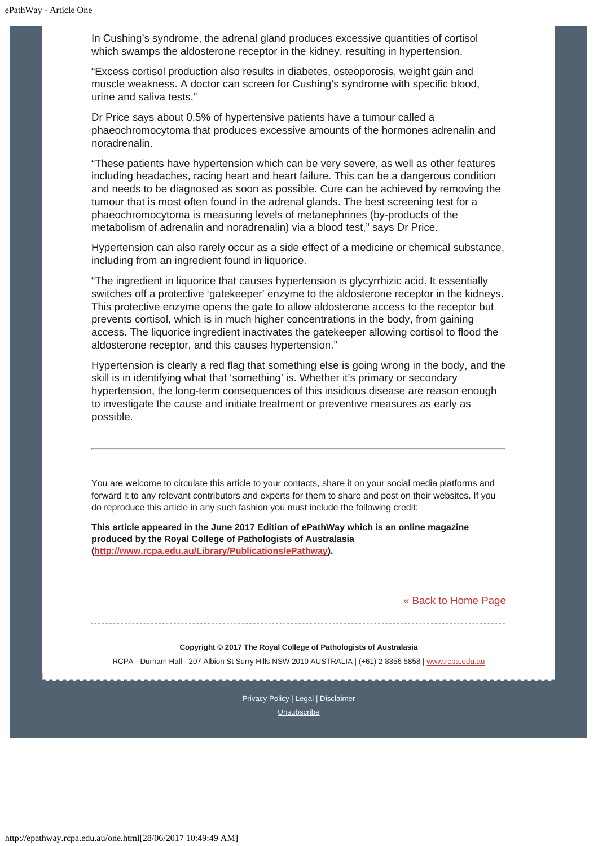In Cushing's syndrome, the adrenal gland produces excessive quantities of cortisol which swamps the aldosterone receptor in the kidney, resulting in hypertension.

"Excess cortisol production also results in diabetes, osteoporosis, weight gain and muscle weakness. A doctor can screen for Cushing's syndrome with specific blood, urine and saliva tests."

Dr Price says about 0.5% of hypertensive patients have a tumour called a phaeochromocytoma that produces excessive amounts of the hormones adrenalin and noradrenalin.

"These patients have hypertension which can be very severe, as well as other features including headaches, racing heart and heart failure. This can be a dangerous condition and needs to be diagnosed as soon as possible. Cure can be achieved by removing the tumour that is most often found in the adrenal glands. The best screening test for a phaeochromocytoma is measuring levels of metanephrines (by-products of the metabolism of adrenalin and noradrenalin) via a blood test," says Dr Price.

Hypertension can also rarely occur as a side effect of a medicine or chemical substance, including from an ingredient found in liquorice.

"The ingredient in liquorice that causes hypertension is glycyrrhizic acid. It essentially switches off a protective 'gatekeeper' enzyme to the aldosterone receptor in the kidneys. This protective enzyme opens the gate to allow aldosterone access to the receptor but prevents cortisol, which is in much higher concentrations in the body, from gaining access. The liquorice ingredient inactivates the gatekeeper allowing cortisol to flood the aldosterone receptor, and this causes hypertension."

Hypertension is clearly a red flag that something else is going wrong in the body, and the skill is in identifying what that 'something' is. Whether it's primary or secondary hypertension, the long-term consequences of this insidious disease are reason enough to investigate the cause and initiate treatment or preventive measures as early as possible.

You are welcome to circulate this article to your contacts, share it on your social media platforms and forward it to any relevant contributors and experts for them to share and post on their websites. If you do reproduce this article in any such fashion you must include the following credit:

**This article appeared in the June 2017 Edition of ePathWay which is an online magazine produced by the Royal College of Pathologists of Australasia [\(http://www.rcpa.edu.au/Library/Publications/ePathway](http://www.rcpa.edu.au/Library/Publications/ePathway)).**

#### [« Back to Home Page](http://epathway.rcpa.edu.au/index.html)

#### **Copyright © 2017 The Royal College of Pathologists of Australasia**

RCPA - Durham Hall - 207 Albion St Surry Hills NSW 2010 AUSTRALIA | (+61) 2 8356 5858 | [www.rcpa.edu.au](https://www.rcpa.edu.au/)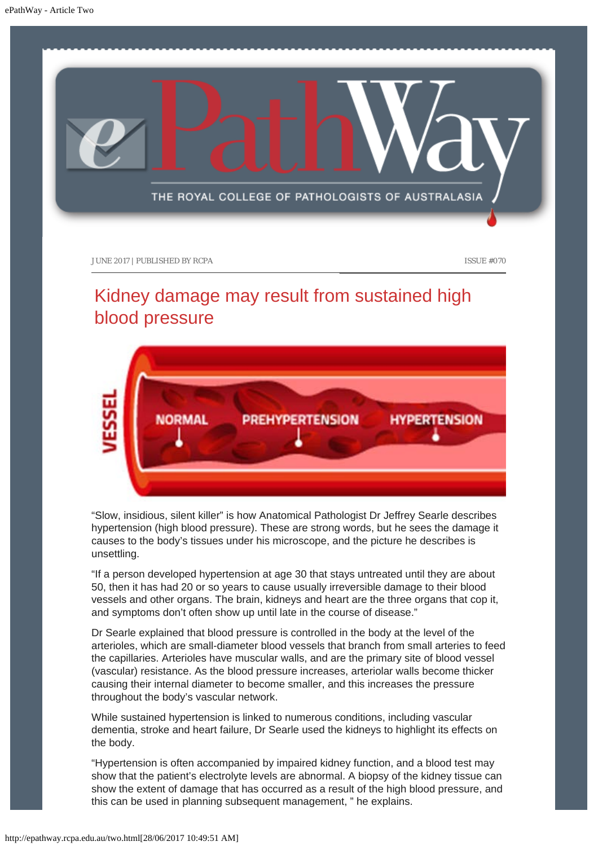<span id="page-7-0"></span>

# Kidney damage may result from sustained high blood pressure

**MODMAL PREHYPERTENSION HYPERTENSION** 

"Slow, insidious, silent killer" is how Anatomical Pathologist Dr Jeffrey Searle describes hypertension (high blood pressure). These are strong words, but he sees the damage it causes to the body's tissues under his microscope, and the picture he describes is unsettling.

"If a person developed hypertension at age 30 that stays untreated until they are about 50, then it has had 20 or so years to cause usually irreversible damage to their blood vessels and other organs. The brain, kidneys and heart are the three organs that cop it, and symptoms don't often show up until late in the course of disease."

Dr Searle explained that blood pressure is controlled in the body at the level of the arterioles, which are small-diameter blood vessels that branch from small arteries to feed the capillaries. Arterioles have muscular walls, and are the primary site of blood vessel (vascular) resistance. As the blood pressure increases, arteriolar walls become thicker causing their internal diameter to become smaller, and this increases the pressure throughout the body's vascular network.

While sustained hypertension is linked to numerous conditions, including vascular dementia, stroke and heart failure, Dr Searle used the kidneys to highlight its effects on the body.

"Hypertension is often accompanied by impaired kidney function, and a blood test may show that the patient's electrolyte levels are abnormal. A biopsy of the kidney tissue can show the extent of damage that has occurred as a result of the high blood pressure, and this can be used in planning subsequent management, " he explains.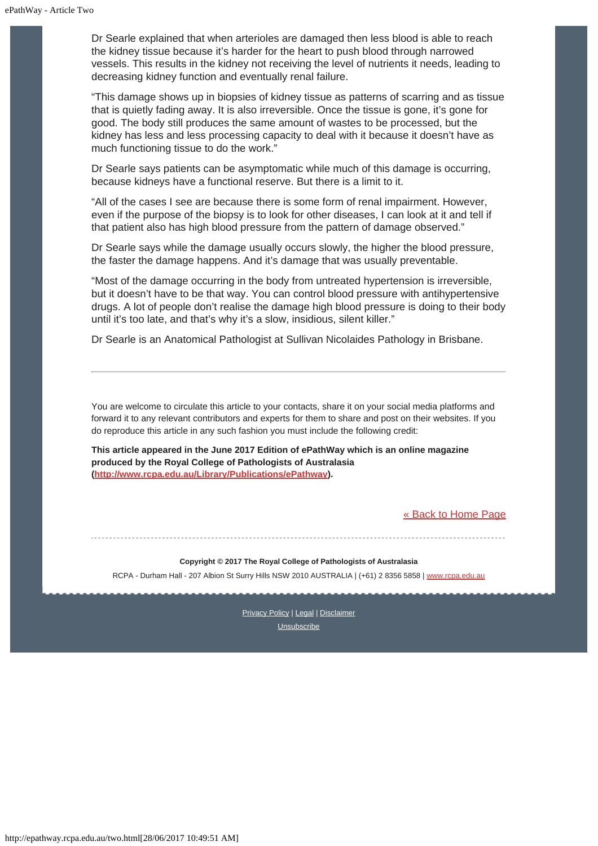Dr Searle explained that when arterioles are damaged then less blood is able to reach the kidney tissue because it's harder for the heart to push blood through narrowed vessels. This results in the kidney not receiving the level of nutrients it needs, leading to decreasing kidney function and eventually renal failure.

"This damage shows up in biopsies of kidney tissue as patterns of scarring and as tissue that is quietly fading away. It is also irreversible. Once the tissue is gone, it's gone for good. The body still produces the same amount of wastes to be processed, but the kidney has less and less processing capacity to deal with it because it doesn't have as much functioning tissue to do the work."

Dr Searle says patients can be asymptomatic while much of this damage is occurring, because kidneys have a functional reserve. But there is a limit to it.

"All of the cases I see are because there is some form of renal impairment. However, even if the purpose of the biopsy is to look for other diseases, I can look at it and tell if that patient also has high blood pressure from the pattern of damage observed."

Dr Searle says while the damage usually occurs slowly, the higher the blood pressure, the faster the damage happens. And it's damage that was usually preventable.

"Most of the damage occurring in the body from untreated hypertension is irreversible, but it doesn't have to be that way. You can control blood pressure with antihypertensive drugs. A lot of people don't realise the damage high blood pressure is doing to their body until it's too late, and that's why it's a slow, insidious, silent killer."

Dr Searle is an Anatomical Pathologist at Sullivan Nicolaides Pathology in Brisbane.

You are welcome to circulate this article to your contacts, share it on your social media platforms and forward it to any relevant contributors and experts for them to share and post on their websites. If you do reproduce this article in any such fashion you must include the following credit:

**This article appeared in the June 2017 Edition of ePathWay which is an online magazine produced by the Royal College of Pathologists of Australasia [\(http://www.rcpa.edu.au/Library/Publications/ePathway](http://www.rcpa.edu.au/Library/Publications/ePathway)).**

#### [« Back to Home Page](http://epathway.rcpa.edu.au/index.html)

#### **Copyright © 2017 The Royal College of Pathologists of Australasia**

RCPA - Durham Hall - 207 Albion St Surry Hills NSW 2010 AUSTRALIA | (+61) 2 8356 5858 | [www.rcpa.edu.au](https://www.rcpa.edu.au/)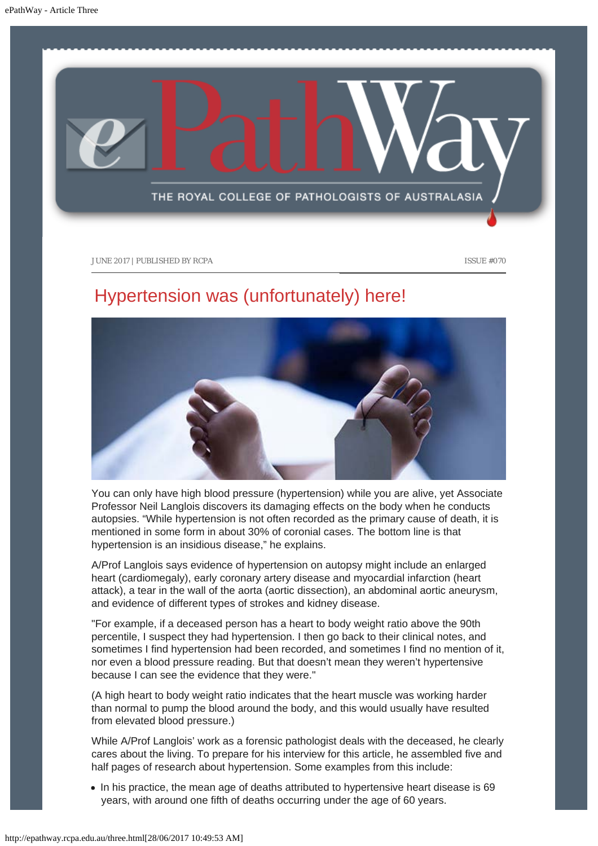<span id="page-9-0"></span>

# Hypertension was (unfortunately) here!



You can only have high blood pressure (hypertension) while you are alive, yet Associate Professor Neil Langlois discovers its damaging effects on the body when he conducts autopsies. "While hypertension is not often recorded as the primary cause of death, it is mentioned in some form in about 30% of coronial cases. The bottom line is that hypertension is an insidious disease," he explains.

A/Prof Langlois says evidence of hypertension on autopsy might include an enlarged heart (cardiomegaly), early coronary artery disease and myocardial infarction (heart attack), a tear in the wall of the aorta (aortic dissection), an abdominal aortic aneurysm, and evidence of different types of strokes and kidney disease.

"For example, if a deceased person has a heart to body weight ratio above the 90th percentile, I suspect they had hypertension. I then go back to their clinical notes, and sometimes I find hypertension had been recorded, and sometimes I find no mention of it, nor even a blood pressure reading. But that doesn't mean they weren't hypertensive because I can see the evidence that they were."

(A high heart to body weight ratio indicates that the heart muscle was working harder than normal to pump the blood around the body, and this would usually have resulted from elevated blood pressure.)

While A/Prof Langlois' work as a forensic pathologist deals with the deceased, he clearly cares about the living. To prepare for his interview for this article, he assembled five and half pages of research about hypertension. Some examples from this include:

• In his practice, the mean age of deaths attributed to hypertensive heart disease is 69 years, with around one fifth of deaths occurring under the age of 60 years.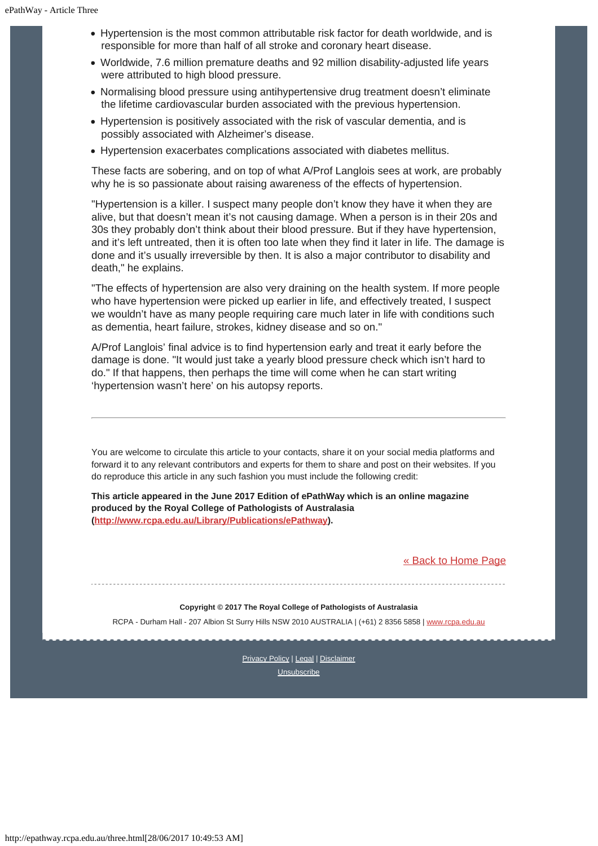- Hypertension is the most common attributable risk factor for death worldwide, and is responsible for more than half of all stroke and coronary heart disease.
- Worldwide, 7.6 million premature deaths and 92 million disability-adjusted life years were attributed to high blood pressure.
- Normalising blood pressure using antihypertensive drug treatment doesn't eliminate the lifetime cardiovascular burden associated with the previous hypertension.
- Hypertension is positively associated with the risk of vascular dementia, and is possibly associated with Alzheimer's disease.
- Hypertension exacerbates complications associated with diabetes mellitus.

These facts are sobering, and on top of what A/Prof Langlois sees at work, are probably why he is so passionate about raising awareness of the effects of hypertension.

"Hypertension is a killer. I suspect many people don't know they have it when they are alive, but that doesn't mean it's not causing damage. When a person is in their 20s and 30s they probably don't think about their blood pressure. But if they have hypertension, and it's left untreated, then it is often too late when they find it later in life. The damage is done and it's usually irreversible by then. It is also a major contributor to disability and death," he explains.

"The effects of hypertension are also very draining on the health system. If more people who have hypertension were picked up earlier in life, and effectively treated, I suspect we wouldn't have as many people requiring care much later in life with conditions such as dementia, heart failure, strokes, kidney disease and so on."

A/Prof Langlois' final advice is to find hypertension early and treat it early before the damage is done. "It would just take a yearly blood pressure check which isn't hard to do." If that happens, then perhaps the time will come when he can start writing 'hypertension wasn't here' on his autopsy reports.

You are welcome to circulate this article to your contacts, share it on your social media platforms and forward it to any relevant contributors and experts for them to share and post on their websites. If you do reproduce this article in any such fashion you must include the following credit:

**This article appeared in the June 2017 Edition of ePathWay which is an online magazine produced by the Royal College of Pathologists of Australasia [\(http://www.rcpa.edu.au/Library/Publications/ePathway](http://www.rcpa.edu.au/Library/Publications/ePathway)).**

[« Back to Home Page](http://epathway.rcpa.edu.au/index.html)

**Copyright © 2017 The Royal College of Pathologists of Australasia** RCPA - Durham Hall - 207 Albion St Surry Hills NSW 2010 AUSTRALIA | (+61) 2 8356 5858 | [www.rcpa.edu.au](https://www.rcpa.edu.au/)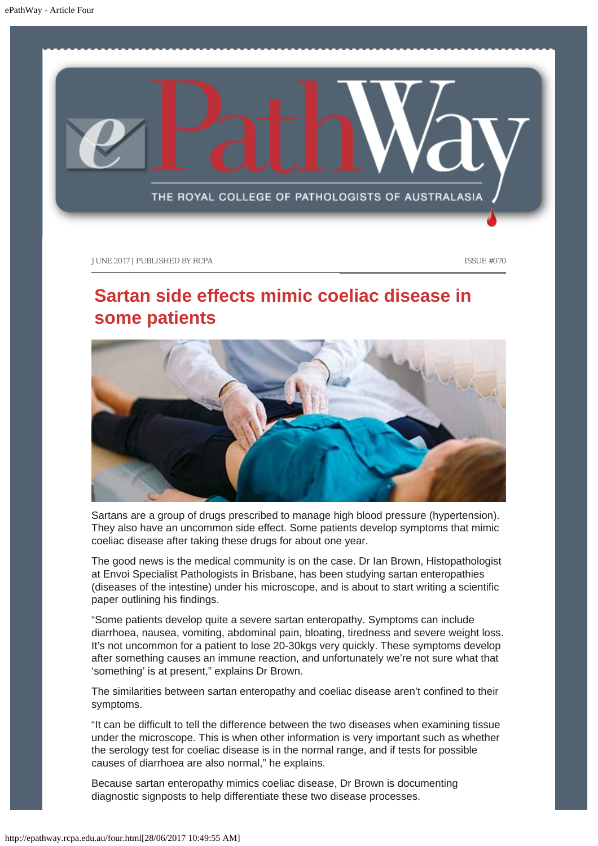<span id="page-11-0"></span>

# **Sartan side effects mimic coeliac disease in some patients**



Sartans are a group of drugs prescribed to manage high blood pressure (hypertension). They also have an uncommon side effect. Some patients develop symptoms that mimic coeliac disease after taking these drugs for about one year.

The good news is the medical community is on the case. Dr Ian Brown, Histopathologist at Envoi Specialist Pathologists in Brisbane, has been studying sartan enteropathies (diseases of the intestine) under his microscope, and is about to start writing a scientific paper outlining his findings.

"Some patients develop quite a severe sartan enteropathy. Symptoms can include diarrhoea, nausea, vomiting, abdominal pain, bloating, tiredness and severe weight loss. It's not uncommon for a patient to lose 20-30kgs very quickly. These symptoms develop after something causes an immune reaction, and unfortunately we're not sure what that 'something' is at present," explains Dr Brown.

The similarities between sartan enteropathy and coeliac disease aren't confined to their symptoms.

"It can be difficult to tell the difference between the two diseases when examining tissue under the microscope. This is when other information is very important such as whether the serology test for coeliac disease is in the normal range, and if tests for possible causes of diarrhoea are also normal," he explains.

Because sartan enteropathy mimics coeliac disease, Dr Brown is documenting diagnostic signposts to help differentiate these two disease processes.